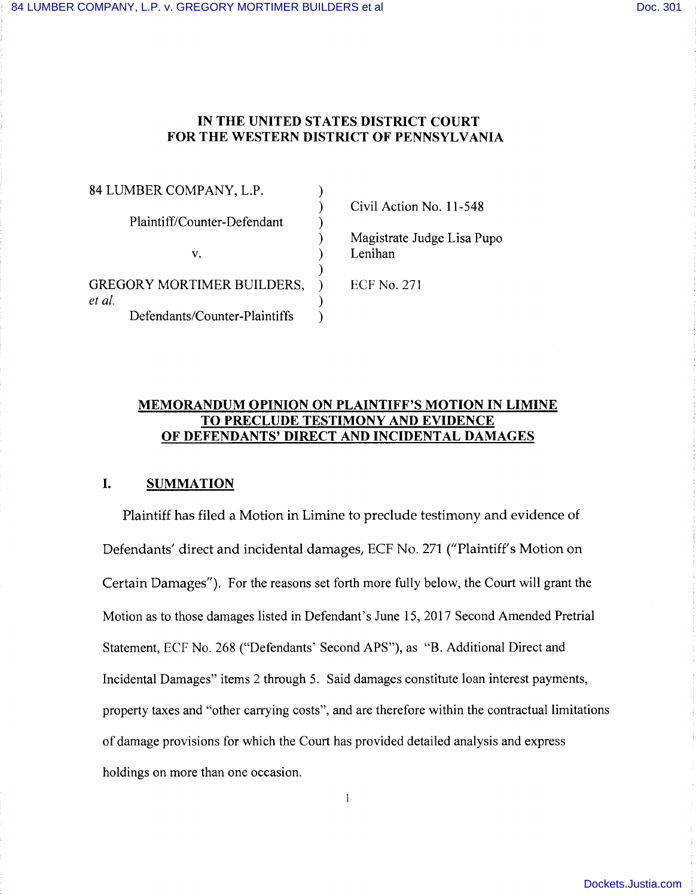## **IN THE UNITED STATES DISTRICT COURT FOR THE WESTERN DISTRICT OF PENNSYLVANIA**

)

)

)

84 LUMBER COMPANY, L.P.

Plaintiff/Counter-Defendant )

v.  $\qquad \qquad$  )

GREGORY MORTIMER BUILDERS, ) *et al.* ) Defendants/Counter-Plaintiffs ) Civil Action No. 11-548

Magistrate Judge Lisa Pupo Lenihan

ECF No. 271

## **MEMORANDUM OPINION ON PLAINTIFF'S MOTION IN LIMINE TO PRECLUDE TESTIMONY AND EVIDENCE OF DEFENDANTS' DIRECT AND INCIDENTAL DAMAGES**

# **I. SUMMATION**

Plaintiff has filed a Motion in Limine to preclude testimony and evidence of Defendants' direct and incidental damages, ECF No. 271 ("Plaintiff's Motion on Certain Damages"). For the reasons set forth more fully below, the Court will grant the Motion as to those damages listed in Defendant's June 15, 2017 Second Amended Pretrial Statement, ECF No. 268 ("Defendants' Second APS"), as "B. Additional Direct and Incidental Damages" items 2 through 5. Said damages constitute loan interest payments, property taxes and "other carrying costs'', and are therefore within the contractual limitations of damage provisions for which the Court has provided detailed analysis and express holdings on more than one occasion.

 $\mathbf{1}$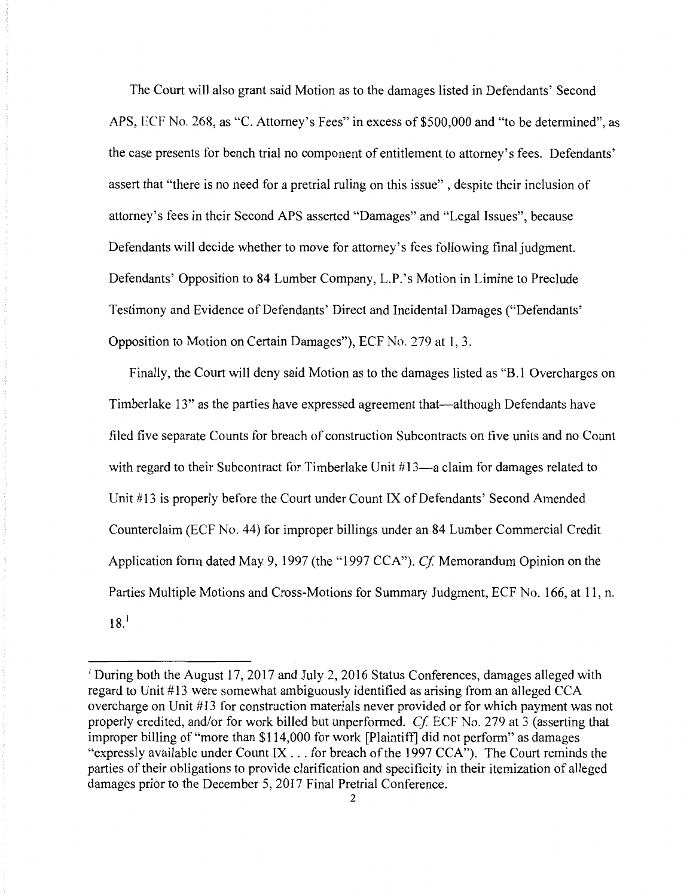The Court will also grant said Motion as to the damages listed in Defendants' Second APS, ECF No. 268, as "C. Attorney's Fees" in excess of \$500,000 and "to be determined", as the case presents for bench trial no component of entitlement to attorney's fees. Defendants' assert that "there is no need for a pretrial ruling on this issue" , despite their inclusion of attorney's fees in their Second APS asserted "Damages" and "Legal Issues", because Defendants will decide whether to move for attorney's fees following final judgment. Defendants' Opposition to 84 Lumber Company, L.P. 's Motion in Limine to Preclude Testimony and Evidence of Defendants' Direct and Incidental Damages ("Defendants' Opposition to Motion on Certain Damages"), ECF No. *279* at 1, 3.

Finally, the Court will deny said Motion as to the damages listed as "B.1 Overcharges on Timberlake 13" as the parties have expressed agreement that-although Defendants have filed five separate Counts for breach of construction Subcontracts on five units and no Count with regard to their Subcontract for Timberlake Unit #13-a claim for damages related to Unit #13 is properly before the Court under Count IX of Defendants' Second Amended Counterclaim (ECF No. 44) for improper billings under an 84 Lumber Commercial Credit Application form dated May 9, 1997 (the "1997 CCA"). *Cf* Memorandum Opinion on the Parties Multiple Motions and Cross-Motions for Summary Judgment, ECF No. 166, at 11, n.  $18<sup>1</sup>$ 

<sup>&</sup>lt;sup>1</sup> During both the August 17, 2017 and July 2, 2016 Status Conferences, damages alleged with regard to Unit #13 were somewhat ambiguously identified as arising from an alleged CCA overcharge on Unit #13 for construction materials never provided or for which payment was not properly credited, and/or for work billed but unperformed. *Cf* ECF No. 279 at 3 (asserting that improper billing of "more than \$114,000 for work [Plaintiff] did not perform" as damages "expressly available under Count IX ... for breach of the 1997 CCA"). The Court reminds the parties of their obligations to provide clarification and specificity in their itemization of alleged damages prior to the December 5, 2017 Final Pretrial Conference.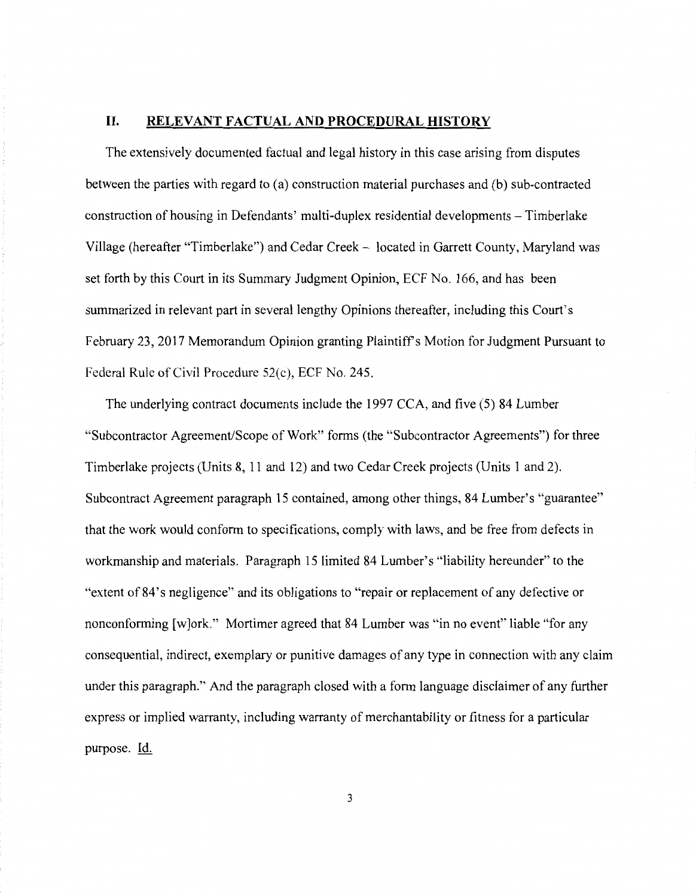#### **II. RELEVANT FACTUAL AND PROCEDURAL HISTORY**

The extensively documented factual and legal history in this case arising from disputes between the parties with regard to (a) construction material purchases and (b) sub-contracted construction of housing in Defendants' multi-duplex residential developments - Timberlake Village (hereafter "Timberlake") and Cedar Creek - located in Garrett County, Maryland was set forth by this Court in its Summary Judgment Opinion, ECF No. 166, and has been summarized in relevant part in several lengthy Opinions thereafter, including this Court's February 23, 2017 Memorandum Opinion granting Plaintiffs Motion for Judgment Pursuant to Federal Ruic of Civil Procedure 52(c), ECF No. 245.

The underlying contract documents include the 1997 CCA, and five (5) 84 Lumber "Subcontractor Agreement/Scope of Work" forms (the "Subcontractor Agreements") for three Timberlake projects (Units 8, 11 and 12) and two Cedar Creek projects (Units 1 and 2). Subcontract Agreement paragraph 15 contained, among other things, 84 Lumber's "guarantee" that the work would conform to specifications, comply with laws, and be free from defects in workmanship and materials. Paragraph 15 limited 84 Lumber's "liability hereunder" to the "extent of 84's negligence" and its obligations to "repair or replacement of any defective or nonconforming [w]ork." Mortimer agreed that 84 Lumber was "in no event" liable "for any consequential, indirect, exemplary or punitive damages of any type in connection with any claim under this paragraph." And the paragraph closed with a form language disclaimer of any further express or implied warranty, including warranty of merchantability or fitness for a particular purpose. Id.

3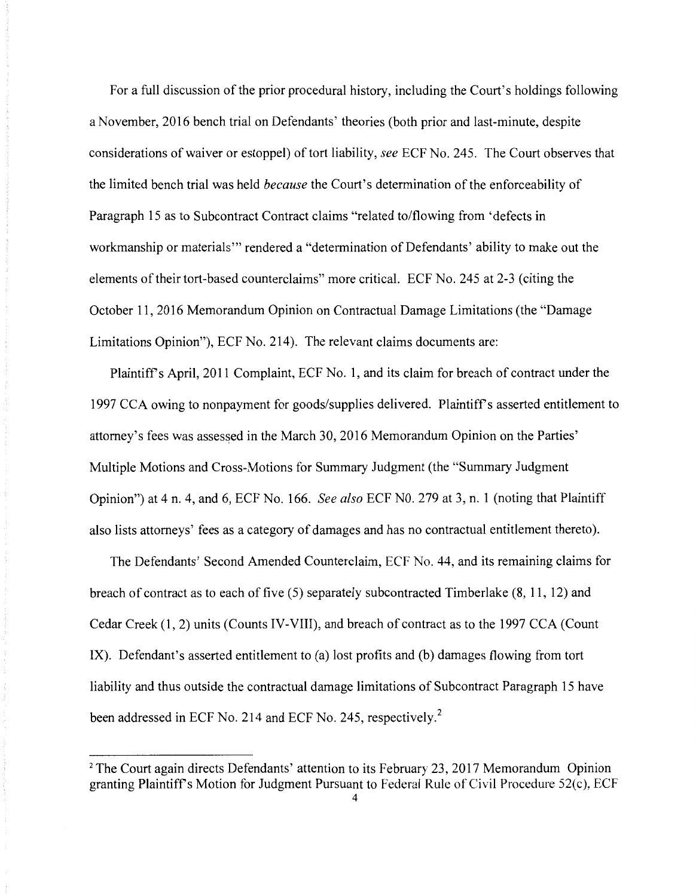For a full discussion of the prior procedural history, including the Court's holdings following a November, 2016 bench trial on Defendants' theories (both prior and last-minute, despite considerations of waiver or estoppel) of tort liability, *see* ECF No. 245. The Court observes that the limited bench trial was held *because* the Court's determination of the enforceability of Paragraph 15 as to Subcontract Contract claims "related to/flowing from 'defects in workmanship or materials"' rendered a "determination of Defendants' ability to make out the elements of their tort-based counterclaims" more critical. ECF No. 245 at 2-3 (citing the October 11, 2016 Memorandum Opinion on Contractual Damage Limitations (the "Damage Limitations Opinion"), ECF No. 214). The relevant claims documents are:

Plaintiffs April, 2011 Complaint, ECF No. 1, and its claim for breach of contract under the 1997 CCA owing to nonpayment for goods/supplies delivered. Plaintiff's asserted entitlement to attorney's fees was assessed in the March 30, 2016 Memorandum Opinion on the Parties' Multiple Motions and Cross-Motions for Summary Judgment (the "Summary Judgment Opinion") at 4 n. 4, and 6, ECF No. 166. *See also* ECF NO. 279 at 3, n. 1 (noting that Plaintiff also lists attorneys' fees as a category of damages and has no contractual entitlement thereto).

The Defendants' Second Amended Counterclaim, ECF No. 44, and its remaining claims for breach of contract as to each of five (5) separately subcontracted Timberlake (8, 11, 12) and Cedar Creek (1, 2) units (Counts IV-VIII), and breach of contract as to the 1997 CCA (Count IX). Defendant's asserted entitlement to (a) lost profits and (b) damages flowing from tort liability and thus outside the contractual damage limitations of Subcontract Paragraph 15 have been addressed in ECF No. 214 and ECF No. 245, respectively.<sup>2</sup>

<sup>&</sup>lt;sup>2</sup> The Court again directs Defendants' attention to its February 23, 2017 Memorandum Opinion granting Plaintiffs Motion for Judgment Pursuant to Federal Rule of Civil Procedure 52(c), ECF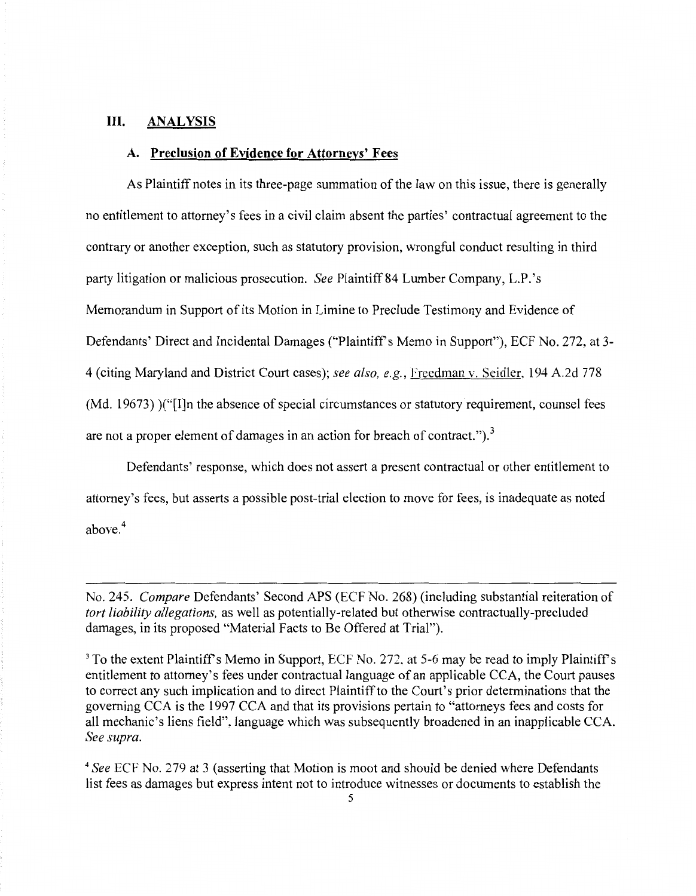## **III. ANALYSIS**

#### **A. Preclusion of Evidence for Attorneys' Fees**

As Plaintiff notes in its three-page summation of the law on this issue, there is generally no entitlement to attorney's fees in a civil claim absent the parties' contractual agreement to the contrary or another exception, such as statutory provision, wrongful conduct resulting in third party litigation or malicious prosecution. *See* Plaintiff 84 Lumber Company, L.P. 's Memorandum in Support of its Motion in Limine to Preclude Testimony and Evidence of Defendants' Direct and Incidental Damages ("Plaintiff's Memo in Support"), ECF No. 272, at 3-4 (citing Maryland and District Court cases); *see also, e.g.,* Freedman v. Seidler, 194 A.2d 778 (Md. 19673) )("[I]n the absence of special circumstances or statutory requirement, counsel fees are not a proper element of damages in an action for breach of contract.").<sup>3</sup>

Defendants' response, which does not assert a present contractual or other entitlement to attorney's fees, but asserts a possible post-trial election to move for fees, is inadequate as noted above. <sup>4</sup>

No. 245. *Compare* Defendants' Second APS (ECF No. 268) (including substantial reiteration of *tort liability allegations,* as well as potentially-related but otherwise contractually-precluded damages, in its proposed "Material Facts to Be Offered at Trial").

<sup>3</sup> To the extent Plaintiff's Memo in Support, ECF No. 272, at 5-6 may be read to imply Plaintiff's entitlement to attorney's fees under contractual language of an applicable CCA, the Court pauses to correct any such implication and to direct Plaintiff to the Court's prior determinations that the governing CCA is the 1997 CCA and that its provisions pertain to "attorneys fees and costs for all mechanic's liens field", language which was subsequently broadened in an inapplicable CCA. *See supra.* 

<sup>4</sup>*See* ECF No. 279 at 3 (asserting that Motion is moot and should be denied where Defendants list fees as damages but express intent not to introduce witnesses or documents to establish the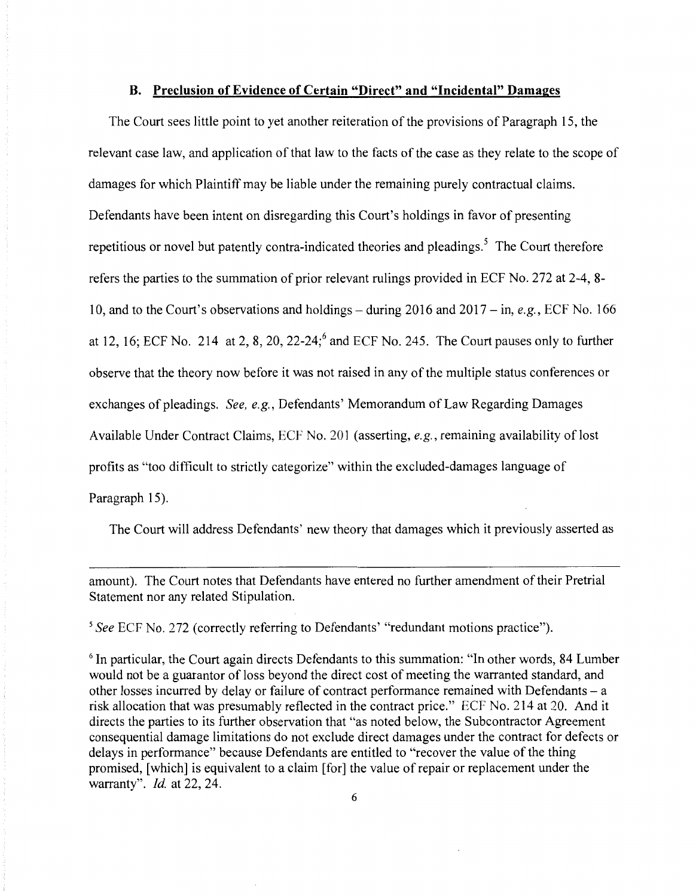#### **B. Preclusion of Evidence of Certain "Direct" and "Incidental" Damages**

The Court sees little point to yet another reiteration of the provisions of Paragraph 15, the relevant case law, and application of that law to the facts of the case as they relate to the scope of damages for which Plaintiff may be liable under the remaining purely contractual claims. Defendants have been intent on disregarding this Court's holdings in favor of presenting repetitious or novel but patently contra-indicated theories and pleadings.<sup>5</sup> The Court therefore refers the parties to the summation of prior relevant rulings provided in ECF No. 272 at 2-4, 8- 10, and to the Court's observations and holdings - during 2016 and 2017 - in, *e.g.,* ECF No. 166 at 12, 16; ECF No. 214 at 2, 8, 20, 22-24;<sup>6</sup> and ECF No. 245. The Court pauses only to further observe that the theory now before it was not raised in any of the multiple status conferences or exchanges of pleadings. *See, e.g.,* Defendants' Memorandum of Law Regarding Damages Available Under Contract Claims, ECF No. 201 (asserting, *e.g.,* remaining availability of lost profits as "too difficult to strictly categorize" within the excluded-damages language of Paragraph 15).

The Court will address Defendants' new theory that damages which it previously asserted as

amount). The Court notes that Defendants have entered no further amendment of their Pretrial Statement nor any related Stipulation.

*<sup>5</sup>See* ECF No. 272 (correctly referring to Defendants' "redundant motions practice").

<sup>6</sup> In particular, the Court again directs Defendants to this summation: "In other words, 84 Lumber" would not be a guarantor of loss beyond the direct cost of meeting the warranted standard, and other losses incurred by delay or failure of contract performance remained with Defendants - a risk allocation that was presumably reflected in the contract price." ECF No. 214 at 20. And it directs the parties to its further observation that "as noted below, the Subcontractor Agreement consequential damage limitations do not exclude direct damages under the contract for defects or delays in performance" because Defendants are entitled to "recover the value of the thing promised, [which] is equivalent to a claim [for] the value of repair or replacement under the warranty". *Id.* at 22, 24.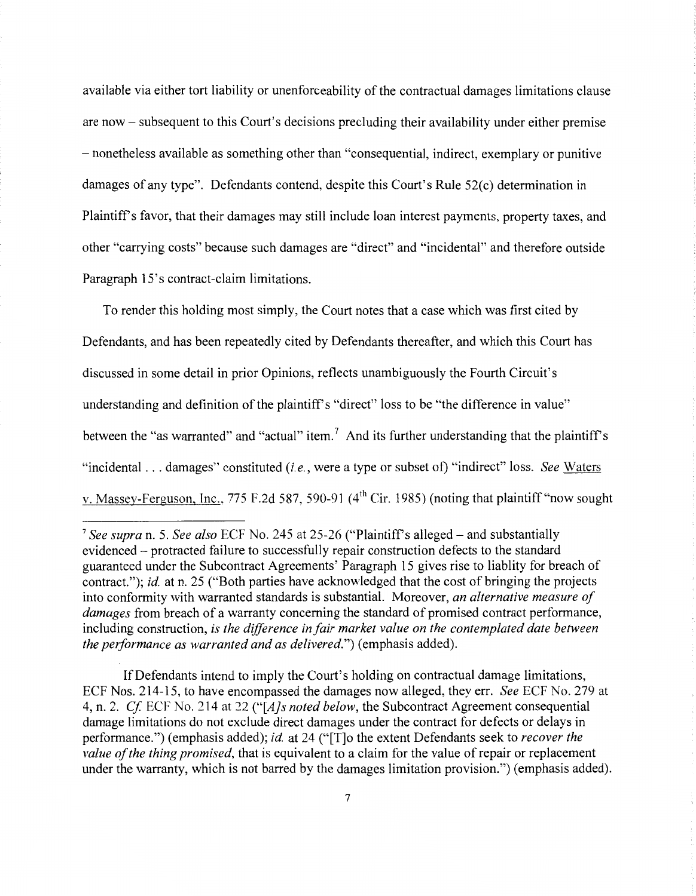available via either tort liability or unenforceability of the contractual damages limitations clause are now- subsequent to this Court's decisions precluding their availability under either premise - nonetheless available as something other than "consequential, indirect, exemplary or punitive damages of any type". Defendants contend, despite this Court's Rule 52(c) determination in Plaintiffs favor, that their damages may still include loan interest payments, property taxes, and other "carrying costs" because such damages are "direct" and "incidental" and therefore outside Paragraph 15's contract-claim limitations.

To render this holding most simply, the Court notes that a case which was first cited by Defendants, and has been repeatedly cited by Defendants thereafter, and which this Court has discussed in some detail in prior Opinions, reflects unambiguously the Fourth Circuit's understanding and definition of the plaintiff's "direct" loss to be "the difference in value" between the "as warranted" and "actual" item.<sup>7</sup> And its further understanding that the plaintiff's "incidental ... damages" constituted *(i.e.,* were a type or subset of) "indirect" loss. *See* Waters v. Massey-Ferguson, Inc., 775 F.2d 587, 590-91 (4<sup>th</sup> Cir. 1985) (noting that plaintiff "now sought

If Defendants intend to imply the Court's holding on contractual damage limitations, ECF Nos. 214-15, to have encompassed the damages now alleged, they err. *See* ECF No. 279 at 4, n. 2. *Cf* ECF No. 214 at *22 ("[A]s noted below,* the Subcontract Agreement consequential damage limitations do not exclude direct damages under the contract for defects or delays in performance.") (emphasis added); *id.* at 24 ("[T]o the extent Defendants seek to *recover the value of the thing promised,* that is equivalent to a claim for the value of repair or replacement under the warranty, which is not barred by the damages limitation provision.") (emphasis added).

<sup>&</sup>lt;sup>7</sup> See supra n. 5. See also ECF No. 245 at 25-26 ("Plaintiff's alleged – and substantially evidenced - protracted failure to successfully repair construction defects to the standard guaranteed under the Subcontract Agreements' Paragraph 15 gives rise to liablity for breach of contract."); *id.* at n. 25 ("Both parties have acknowledged that the cost of bringing the projects into conformity with warranted standards is substantial. Moreover, *an alternative measure of damages* from breach of a warranty concerning the standard of promised contract performance, including construction, *is the difference in fair market value on the contemplated date between the performance as warranted and as delivered."*) (emphasis added).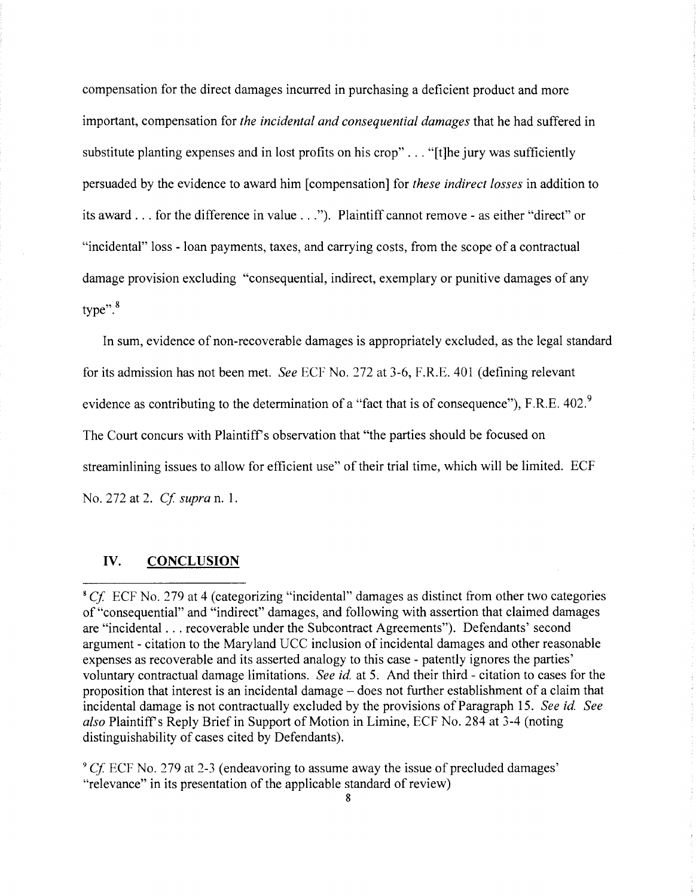compensation for the direct damages incurred in purchasing a deficient product and more important, compensation for *the incidental and consequential damages* that he had suffered in substitute planting expenses and in lost profits on his crop" ... "[t]he jury was sufficiently persuaded by the evidence to award him [compensation] for *these indirect losses* in addition to its award ... for the difference in value ... "). Plaintiff cannot remove - as either "direct" or "incidental" loss - loan payments, taxes, and carrying costs, from the scope of a contractual damage provision excluding "consequential, indirect, exemplary or punitive damages of any type". <sup>8</sup>

In sum, evidence of non-recoverable damages is appropriately excluded, as the legal standard for its admission has not been met. *See* ECF No. 272 at 3-6, F.R.E. 401 (defining relevant evidence as contributing to the determination of a "fact that is of consequence"), F.R.E. 402.<sup>9</sup> The Court concurs with Plaintiff's observation that "the parties should be focused on streaminlining issues to allow for efficient use" of their trial time, which will be limited. ECF No. 272 at 2. *Cf supra* n. 1.

## IV. **CONCLUSION**

<sup>&</sup>lt;sup>8</sup> Cf. ECF No. 279 at 4 (categorizing "incidental" damages as distinct from other two categories of "consequential" and "indirect" damages, and following with assertion that claimed damages are "incidental ... recoverable under the Subcontract Agreements"). Defendants' second argument - citation to the Maryland UCC inclusion of incidental damages and other reasonable expenses as recoverable and its asserted analogy to this case - patently ignores the parties' voluntary contractual damage limitations. *See id.* at 5. And their third - citation to cases for the proposition that interest is an incidental damage - does not further establishment of a claim that incidental damage is not contractually excluded by the provisions of Paragraph 15. *See id. See also* Plaintiffs Reply Brief in Support of Motion in Limine, ECF No. 284 at 3-4 (noting distinguishability of cases cited by Defendants).

<sup>9</sup>*Cf* ECF No. 279 at 2-3 (endeavoring to assume away the issue of precluded damages' "relevance" in its presentation of the applicable standard of review)